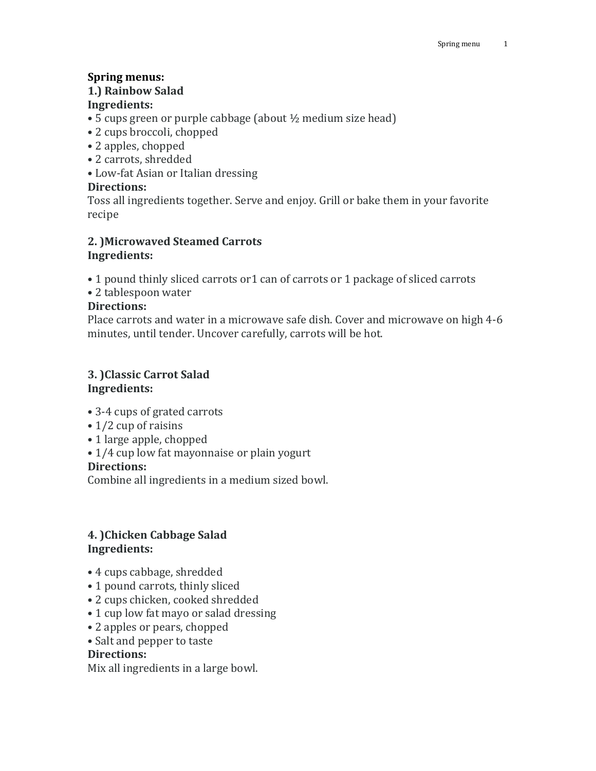# **Spring menus:**

#### **1.) Rainbow Salad Ingredients:**

- 5 cups green or purple cabbage (about ½ medium size head)
- 2 cups broccoli, chopped
- 2 apples, chopped
- 2 carrots, shredded
- Low-fat Asian or Italian dressing

# **Directions:**

Toss all ingredients together. Serve and enjoy. Grill or bake them in your favorite recipe

## **2. )Microwaved Steamed Carrots Ingredients:**

• 1 pound thinly sliced carrots or1 can of carrots or 1 package of sliced carrots

• 2 tablespoon water

## **Directions:**

Place carrots and water in a microwave safe dish. Cover and microwave on high 4-6 minutes, until tender. Uncover carefully, carrots will be hot.

# **3. )Classic Carrot Salad Ingredients:**

- 3-4 cups of grated carrots
- 1/2 cup of raisins
- 1 large apple, chopped
- 1/4 cup low fat mayonnaise or plain yogurt

## **Directions:**

Combine all ingredients in a medium sized bowl.

# **4. )Chicken Cabbage Salad Ingredients:**

- 4 cups cabbage, shredded
- 1 pound carrots, thinly sliced
- 2 cups chicken, cooked shredded
- 1 cup low fat mayo or salad dressing
- 2 apples or pears, chopped
- Salt and pepper to taste

## **Directions:**

Mix all ingredients in a large bowl.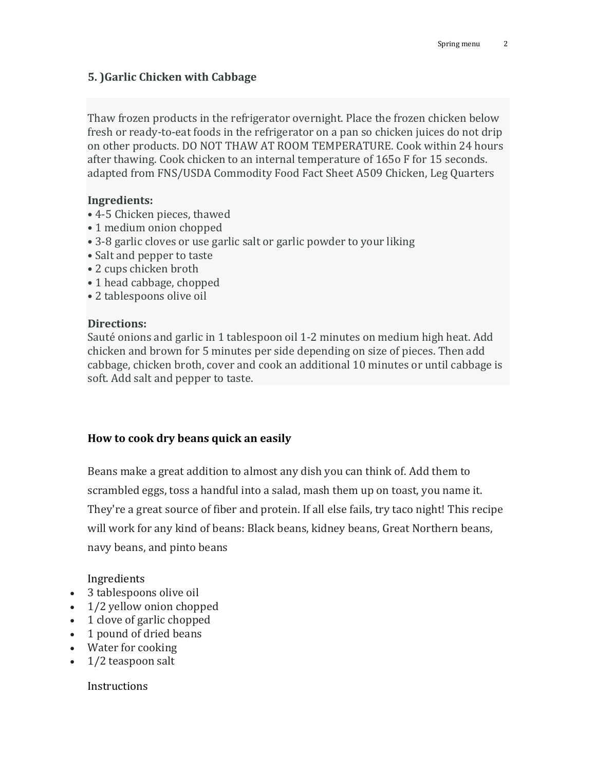## **5. )Garlic Chicken with Cabbage**

Thaw frozen products in the refrigerator overnight. Place the frozen chicken below fresh or ready-to-eat foods in the refrigerator on a pan so chicken juices do not drip on other products. DO NOT THAW AT ROOM TEMPERATURE. Cook within 24 hours after thawing. Cook chicken to an internal temperature of 165o F for 15 seconds. adapted from FNS/USDA Commodity Food Fact Sheet A509 Chicken, Leg Quarters

#### **Ingredients:**

- 4-5 Chicken pieces, thawed
- 1 medium onion chopped
- 3-8 garlic cloves or use garlic salt or garlic powder to your liking
- Salt and pepper to taste
- 2 cups chicken broth
- 1 head cabbage, chopped
- 2 tablespoons olive oil

#### **Directions:**

Sauté onions and garlic in 1 tablespoon oil 1-2 minutes on medium high heat. Add chicken and brown for 5 minutes per side depending on size of pieces. Then add cabbage, chicken broth, cover and cook an additional 10 minutes or until cabbage is soft. Add salt and pepper to taste.

#### **How to cook dry beans quick an easily**

Beans make a great addition to almost any dish you can think of. Add them to scrambled eggs, toss a handful into a salad, mash them up on toast, you name it. They're a great source of fiber and protein. If all else fails, try taco night! This recipe will work for any kind of beans: Black beans, kidney beans, Great Northern beans, navy beans, and pinto beans

Ingredients

- 3 tablespoons olive oil
- 1/2 yellow onion chopped
- 1 clove of garlic chopped
- 1 pound of dried beans
- Water for cooking
- $\bullet$  1/2 teaspoon salt

Instructions